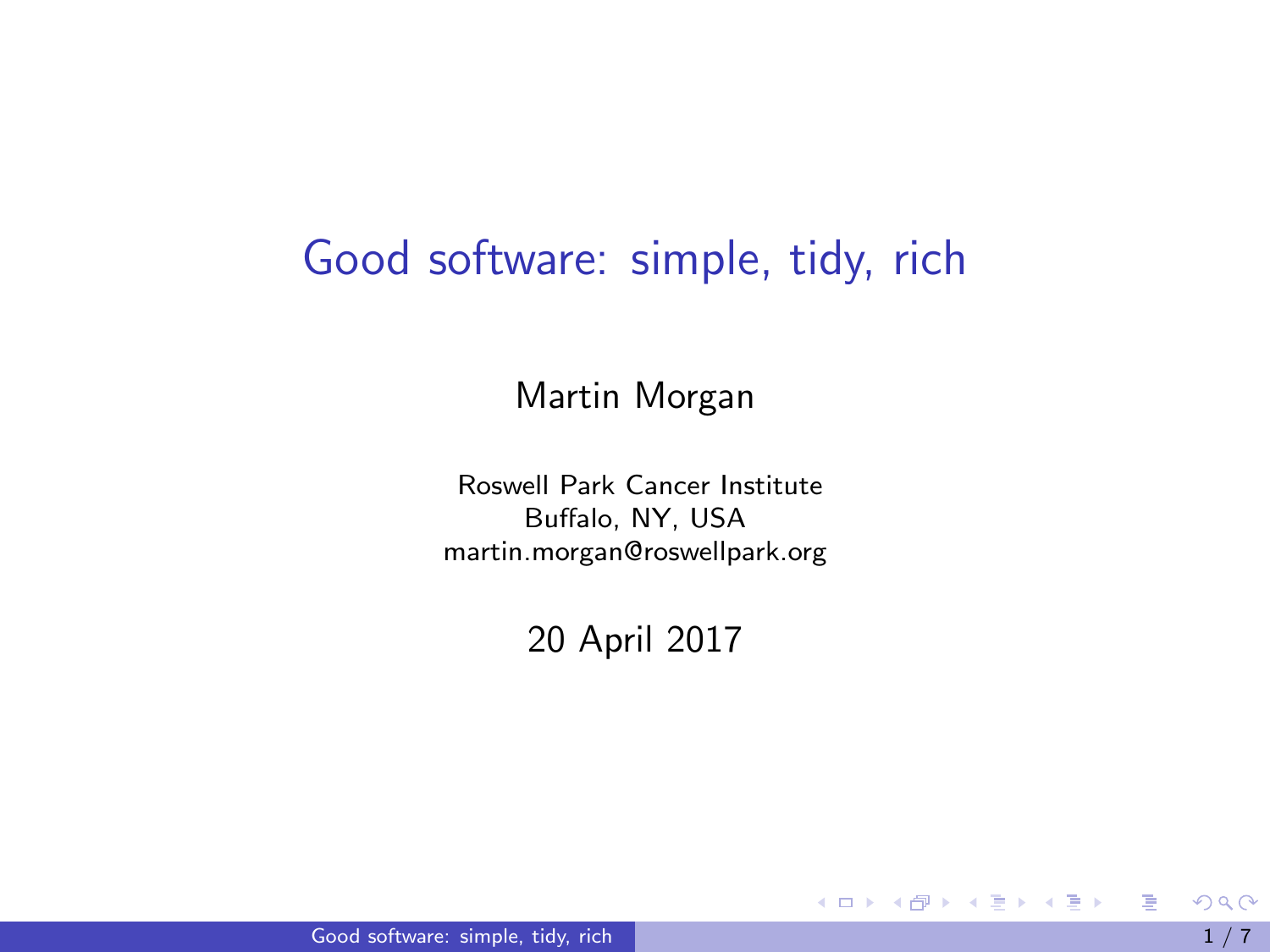#### <span id="page-0-0"></span>Good software: simple, tidy, rich

Martin Morgan

Roswell Park Cancer Institute Buffalo, NY, USA [martin.morgan@roswellpark.org](mailto:martin.morgan@roswellpark.org)

20 April 2017

目

イロメ イ部メ イ君メ イ君メー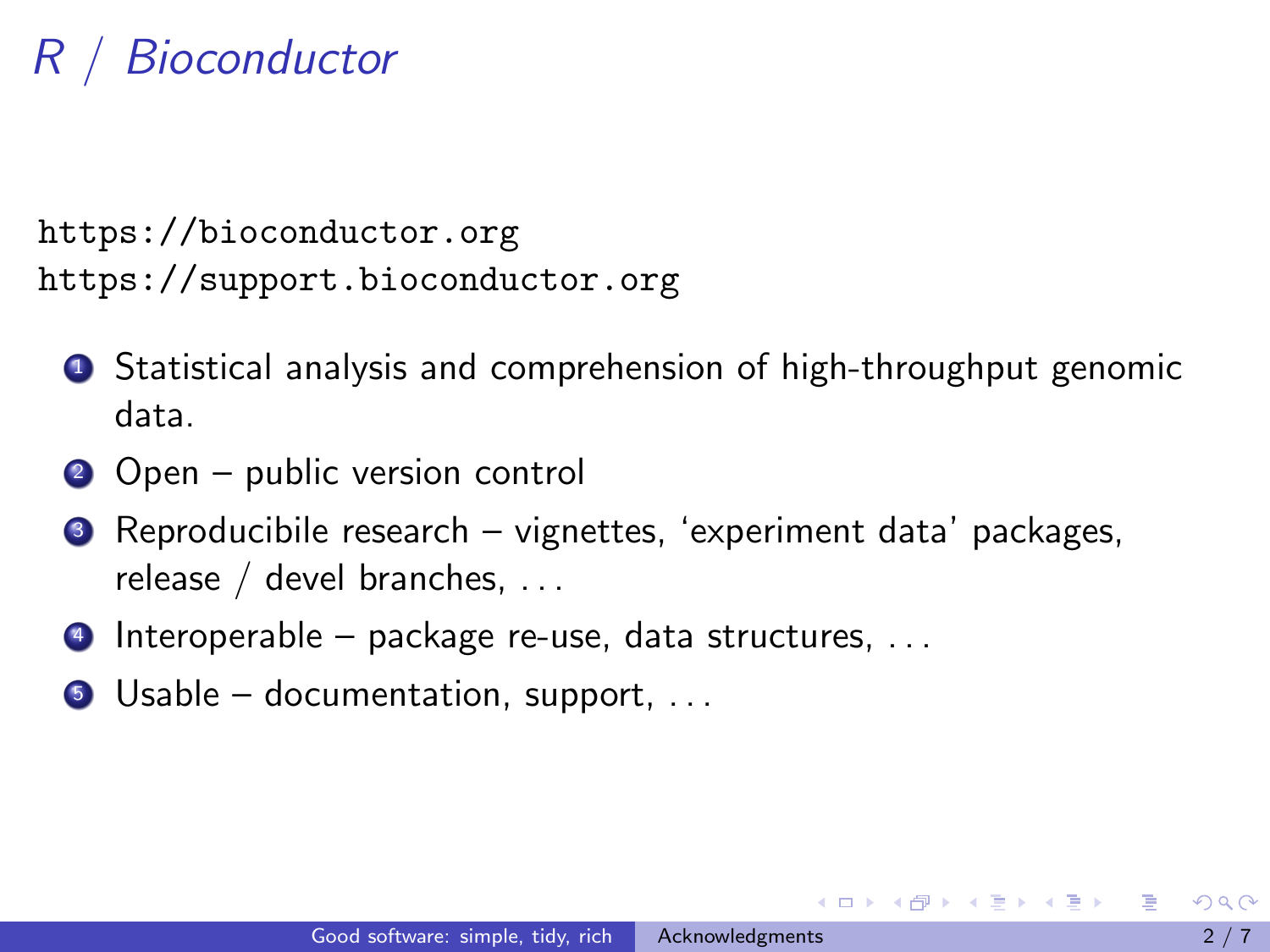# <span id="page-1-0"></span>**Bioconductor**

<https://bioconductor.org> <https://support.bioconductor.org>

- **1** Statistical analysis and comprehension of high-throughput genomic data.
- 2 Open public version control
- <sup>3</sup> Reproducibile research vignettes, 'experiment data' packages, release / devel branches, . . .
- <sup>4</sup> Interoperable package re-use, data structures, . . .
- $\bullet$  Usable documentation, support, ...

イ母 トラミチ マミチー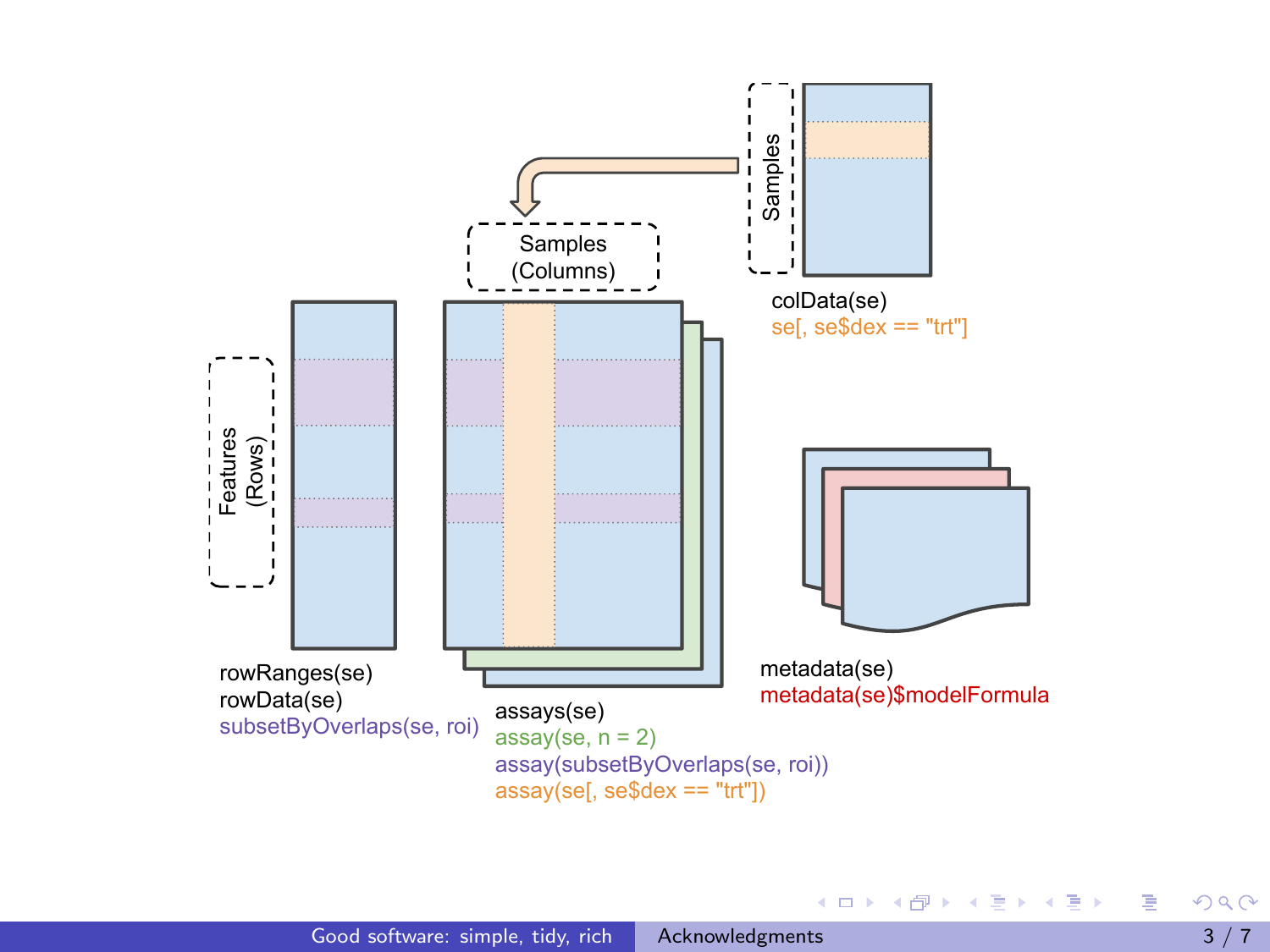<span id="page-2-0"></span>

目

イロメ イ部メ イ君メ イ君メー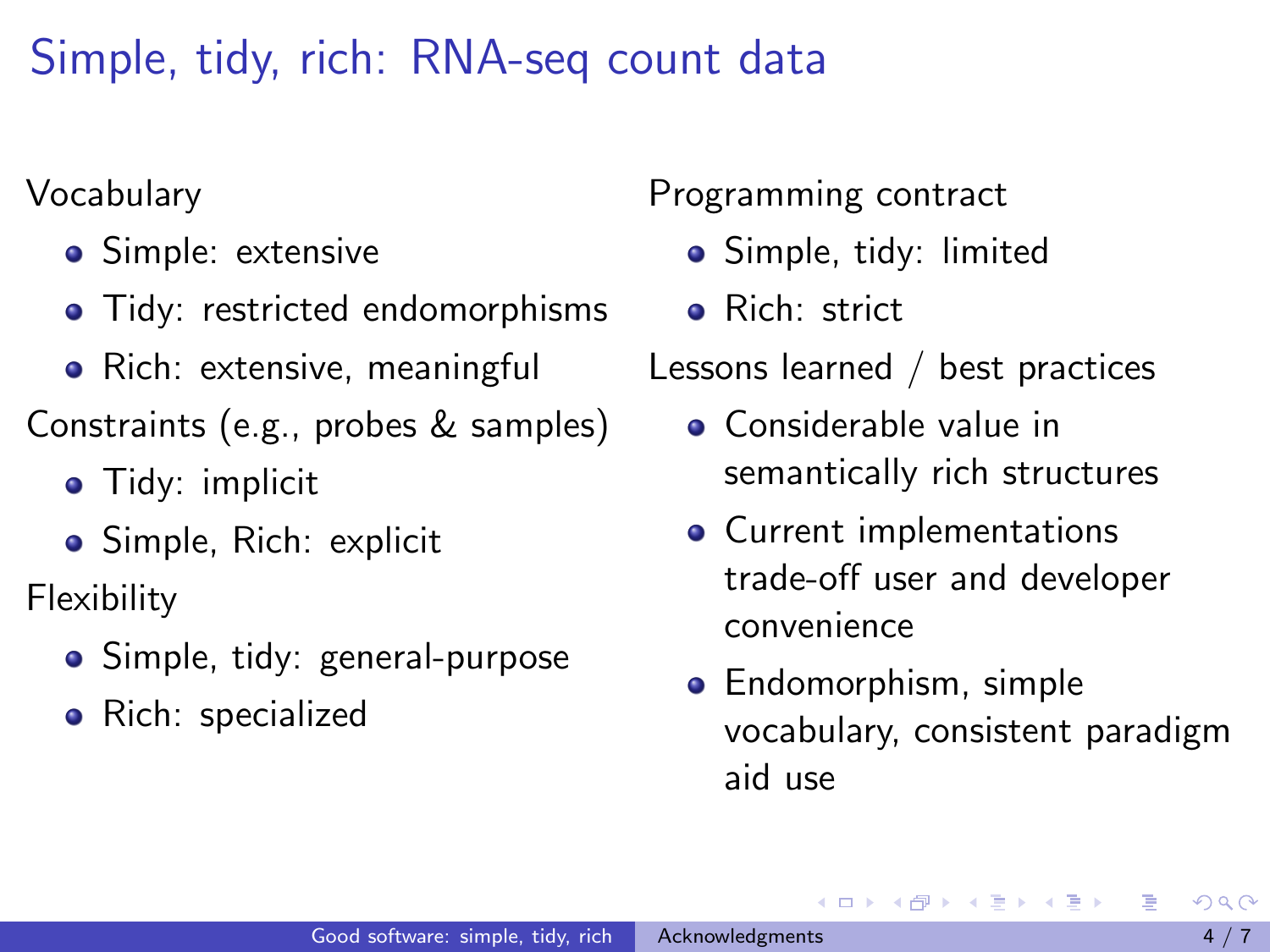<span id="page-3-0"></span>Simple, tidy, rich: RNA-seq count data

Vocabulary

- **Simple: extensive**
- Tidy: restricted endomorphisms
- Rich: extensive, meaningful
- Constraints (e.g., probes & samples)
	- **•** Tidy: implicit
	- Simple, Rich: explicit

Flexibility

- Simple, tidy: general-purpose
- Rich: specialized

Programming contract

- Simple, tidy: limited
- Rich: strict

Lessons learned / best practices

- **•** Considerable value in semantically rich structures
- Current implementations trade-off user and developer convenience
- **•** Endomorphism, simple vocabulary, consistent paradigm aid use

- 4何 ト 4 ヨ ト 4 ヨ ト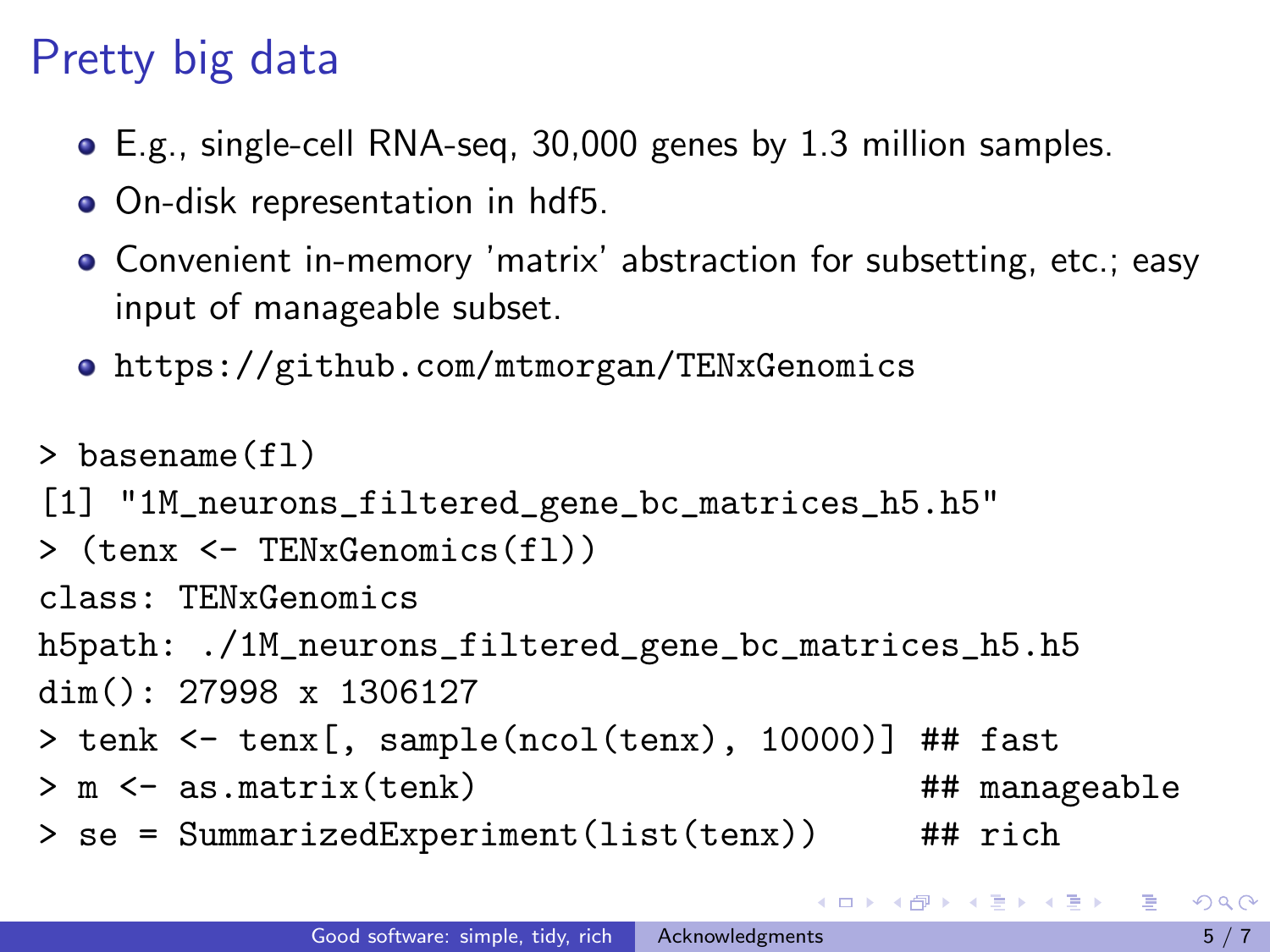# <span id="page-4-0"></span>Pretty big data

- E.g., single-cell RNA-seq, 30,000 genes by 1.3 million samples.
- On-disk representation in hdf5.
- Convenient in-memory 'matrix' abstraction for subsetting, etc.; easy input of manageable subset.
- <https://github.com/mtmorgan/TENxGenomics>
- > basename(fl) [1] "1M\_neurons\_filtered\_gene\_bc\_matrices\_h5.h5" > (tenx <- TENxGenomics(fl)) class: TENxGenomics h5path: ./1M\_neurons\_filtered\_gene\_bc\_matrices\_h5.h5 dim(): 27998 x 1306127 > tenk <- tenx[, sample(ncol(tenx), 10000)] ## fast > m <- as.matrix(tenk) ## manageable > se = SummarizedExperiment(list(tenx)) ## rich

K ロ B K 個 B K B B K B B C B H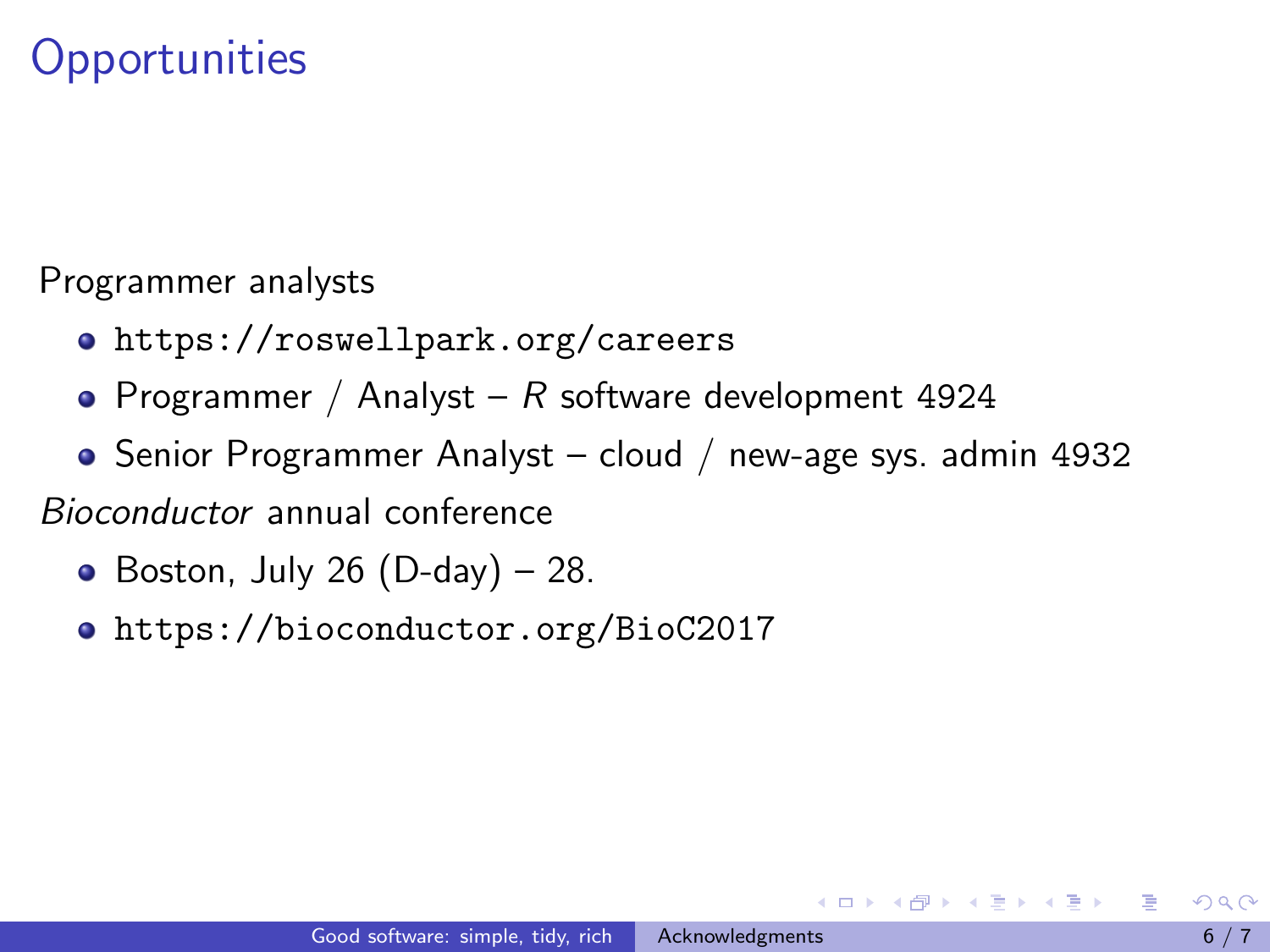### <span id="page-5-0"></span>**Opportunities**

Programmer analysts

- <https://roswellpark.org/careers>
- Programmer / Analyst R software development 4924
- Senior Programmer Analyst cloud / new-age sys. admin 4932

Bioconductor annual conference

- $\bullet$  Boston, July 26 (D-day) 28.
- <https://bioconductor.org/BioC2017>

 $\langle \vert \bar{m} \vert \rangle$  ,  $\langle \vert \bar{m} \vert \rangle$  ,  $\langle \vert \bar{m} \vert \rangle$